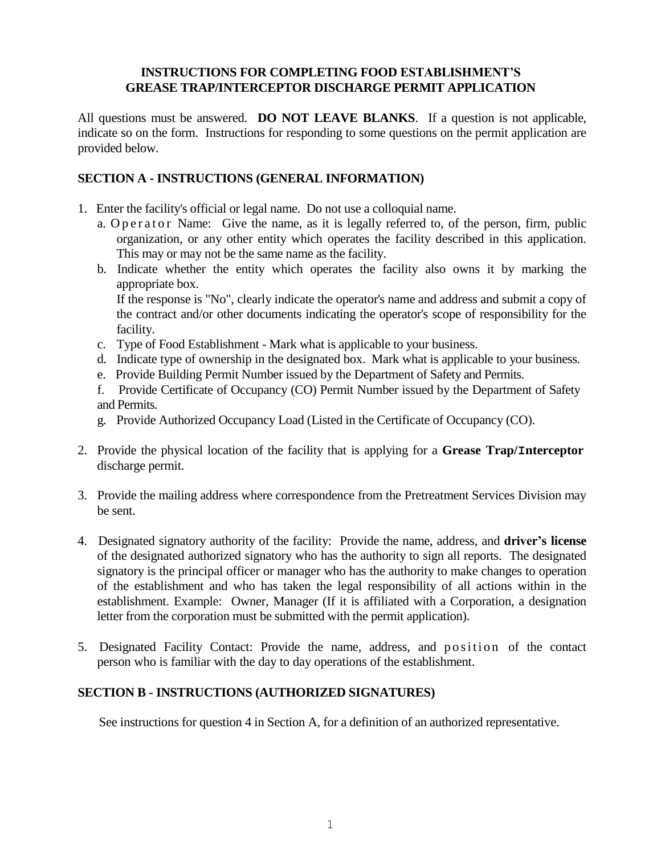### **INSTRUCTIONS FOR COMPLETING FOOD ESTABLISHMENT'S GREASE TRAP/INTERCEPTOR DISCHARGE PERMIT APPLICATION**

All questions must be answered. **DO NOT LEAVE BLANKS**. If a question is not applicable, indicate so on the form. Instructions for responding to some questions on the permit application are provided below.

## **SECTION A - INSTRUCTIONS (GENERAL INFORMATION)**

- 1. Enter the facility's official or legal name. Do not use a colloquial name.
	- a. O p e r a t o r Name: Give the name, as it is legally referred to, of the person, firm, public organization, or any other entity which operates the facility described in this application. This may or may not be the same name as the facility.
	- b. Indicate whether the entity which operates the facility also owns it by marking the appropriate box.

If the response is "No", clearly indicate the operator's name and address and submit a copy of the contract and/or other documents indicating the operator's scope of responsibility for the facility.

- c. Type of Food Establishment Mark what is applicable to your business.
- d. Indicate type of ownership in the designated box. Mark what is applicable to your business.
- e. Provide Building Permit Number issued by the Department of Safety and Permits.
- f. Provide Certificate of Occupancy (CO) Permit Number issued by the Department of Safety and Permits.
- g. Provide Authorized Occupancy Load (Listed in the Certificate of Occupancy (CO).
- 2. Provide the physical location of the facility that is applying for a **Grease Trap/Interceptor** discharge permit.
- 3. Provide the mailing address where correspondence from the Pretreatment Services Division may be sent.
- 4. Designated signatory authority of the facility: Provide the name, address, and **driver's license**  of the designated authorized signatory who has the authority to sign all reports. The designated signatory is the principal officer or manager who has the authority to make changes to operation of the establishment and who has taken the legal responsibility of all actions within in the establishment. Example: Owner, Manager (If it is affiliated with a Corporation, a designation letter from the corporation must be submitted with the permit application).
- 5. Designated Facility Contact: Provide the name, address, and position of the contact person who is familiar with the day to day operations of the establishment.

# **SECTION B - INSTRUCTIONS (AUTHORIZED SIGNATURES)**

See instructions for question 4 in Section A, for a definition of an authorized representative.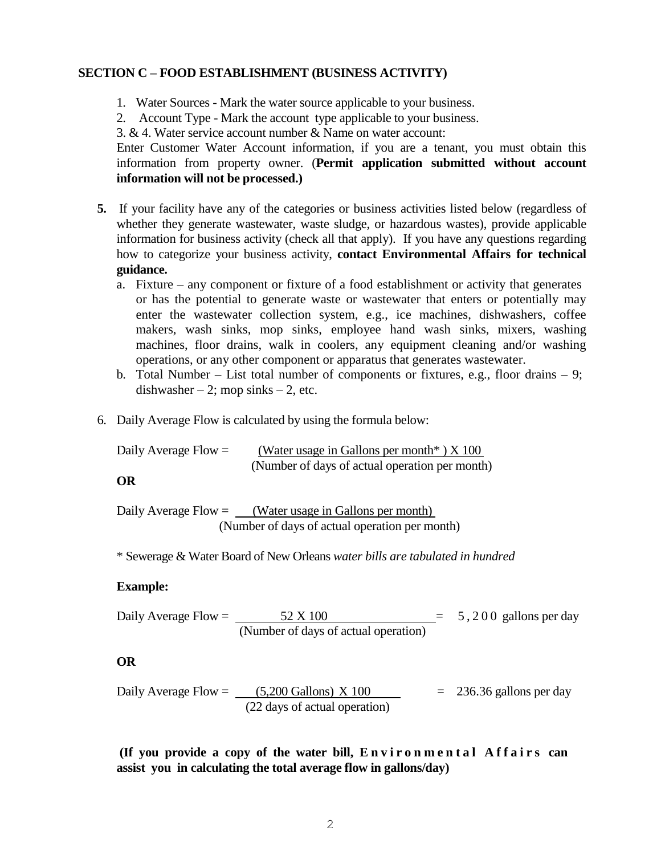### **SECTION C – FOOD ESTABLISHMENT (BUSINESS ACTIVITY)**

- 1. Water Sources Mark the water source applicable to your business.
- 2. Account Type Mark the account type applicable to your business.

3. & 4. Water service account number & Name on water account:

Enter Customer Water Account information, if you are a tenant, you must obtain this information from property owner. (**Permit application submitted without account information will not be processed.)**

- **5.** If your facility have any of the categories or business activities listed below (regardless of whether they generate wastewater, waste sludge, or hazardous wastes), provide applicable information for business activity (check all that apply). If you have any questions regarding how to categorize your business activity, **contact Environmental Affairs for technical guidance.**
	- a. Fixture any component or fixture of a food establishment or activity that generates or has the potential to generate waste or wastewater that enters or potentially may enter the wastewater collection system, e.g., ice machines, dishwashers, coffee makers, wash sinks, mop sinks, employee hand wash sinks, mixers, washing machines, floor drains, walk in coolers, any equipment cleaning and/or washing operations, or any other component or apparatus that generates wastewater.
	- b. Total Number List total number of components or fixtures, e.g., floor drains 9; dishwasher  $-2$ ; mop sinks  $-2$ , etc.
- 6. Daily Average Flow is calculated by using the formula below:

Daily Average Flow =  $(Water usage in Gallons per month*) X 100$ (Number of days of actual operation per month)

**OR**

Daily Average Flow  $=$  (Water usage in Gallons per month) (Number of days of actual operation per month)

\* Sewerage & Water Board of New Orleans *water bills are tabulated in hundred*

### **Example:**

Daily Average Flow =  $\frac{52 \times 100}{2}$  = 5, 200 gallons per day (Number of days of actual operation)

### **OR**

Daily Average Flow =  $(5,200 \text{ Gallons}) \times 100 = 236.36 \text{ gallons per day}$ (22 days of actual operation)

**(If you provide a copy of the water bill, E n v i r o n m e n t a l A f f a i r s can assist you in calculating the total average flow in gallons/day)**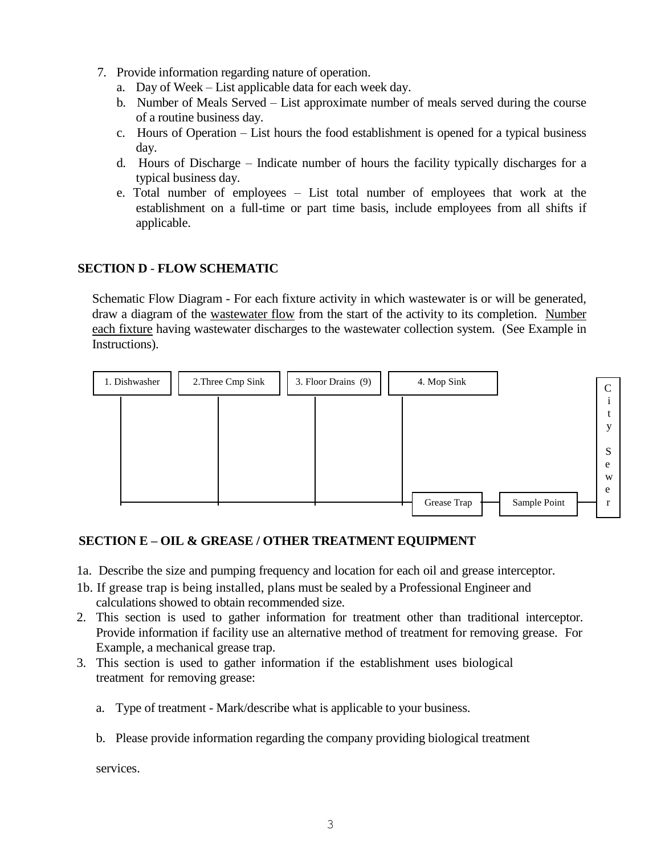- 7. Provide information regarding nature of operation.
	- a. Day of Week List applicable data for each week day.
	- b. Number of Meals Served List approximate number of meals served during the course of a routine business day.
	- c. Hours of Operation List hours the food establishment is opened for a typical business day.
	- d. Hours of Discharge Indicate number of hours the facility typically discharges for a typical business day.
	- e. Total number of employees List total number of employees that work at the establishment on a full-time or part time basis, include employees from all shifts if applicable.

# **SECTION D** - **FLOW SCHEMATIC**

Schematic Flow Diagram - For each fixture activity in which wastewater is or will be generated, draw a diagram of the wastewater flow from the start of the activity to its completion. Number each fixture having wastewater discharges to the wastewater collection system. (See Example in Instructions).



## **SECTION E – OIL & GREASE / OTHER TREATMENT EQUIPMENT**

- 1a. Describe the size and pumping frequency and location for each oil and grease interceptor.
- 1b. If grease trap is being installed, plans must be sealed by a Professional Engineer and calculations showed to obtain recommended size.
- 2. This section is used to gather information for treatment other than traditional interceptor. Provide information if facility use an alternative method of treatment for removing grease. For Example, a mechanical grease trap.
- 3. This section is used to gather information if the establishment uses biological treatment for removing grease:
	- a. Type of treatment Mark/describe what is applicable to your business.
	- b. Please provide information regarding the company providing biological treatment

services.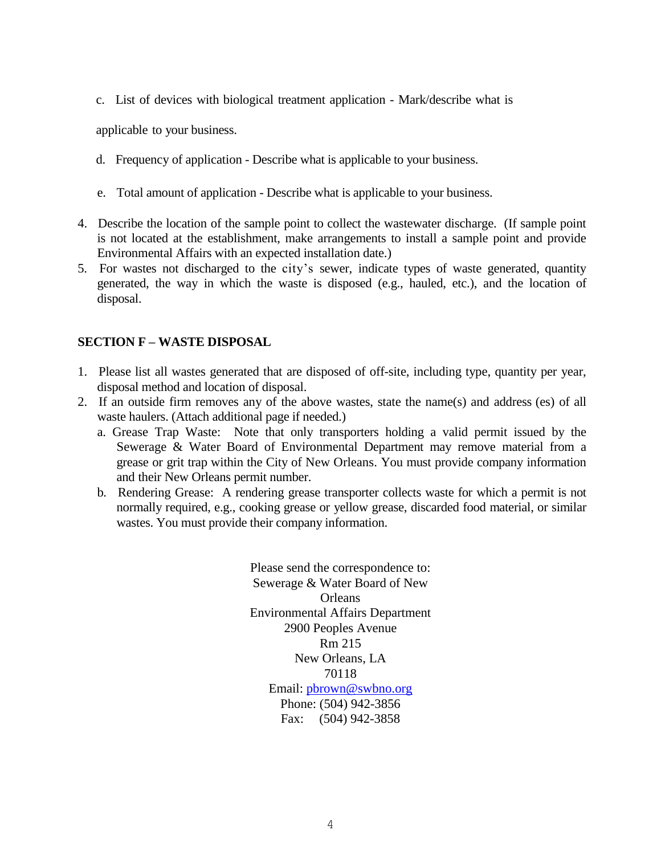c. List of devices with biological treatment application - Mark/describe what is

applicable to your business.

- d. Frequency of application Describe what is applicable to your business.
- e. Total amount of application Describe what is applicable to your business.
- 4. Describe the location of the sample point to collect the wastewater discharge. (If sample point is not located at the establishment, make arrangements to install a sample point and provide Environmental Affairs with an expected installation date.)
- 5. For wastes not discharged to the city's sewer, indicate types of waste generated, quantity generated, the way in which the waste is disposed (e.g., hauled, etc.), and the location of disposal.

## **SECTION F – WASTE DISPOSAL**

- 1. Please list all wastes generated that are disposed of off-site, including type, quantity per year, disposal method and location of disposal.
- 2. If an outside firm removes any of the above wastes, state the name(s) and address (es) of all waste haulers. (Attach additional page if needed.)
	- a. Grease Trap Waste: Note that only transporters holding a valid permit issued by the Sewerage & Water Board of Environmental Department may remove material from a grease or grit trap within the City of New Orleans. You must provide company information and their New Orleans permit number.
	- b. Rendering Grease: A rendering grease transporter collects waste for which a permit is not normally required, e.g., cooking grease or yellow grease, discarded food material, or similar wastes. You must provide their company information.

Please send the correspondence to: Sewerage & Water Board of New **Orleans** Environmental Affairs Department 2900 Peoples Avenue Rm 215 New Orleans, LA 70118 Email: pbrown@swbno.org Phone: (504) 942-3856 Fax: (504) 942-3858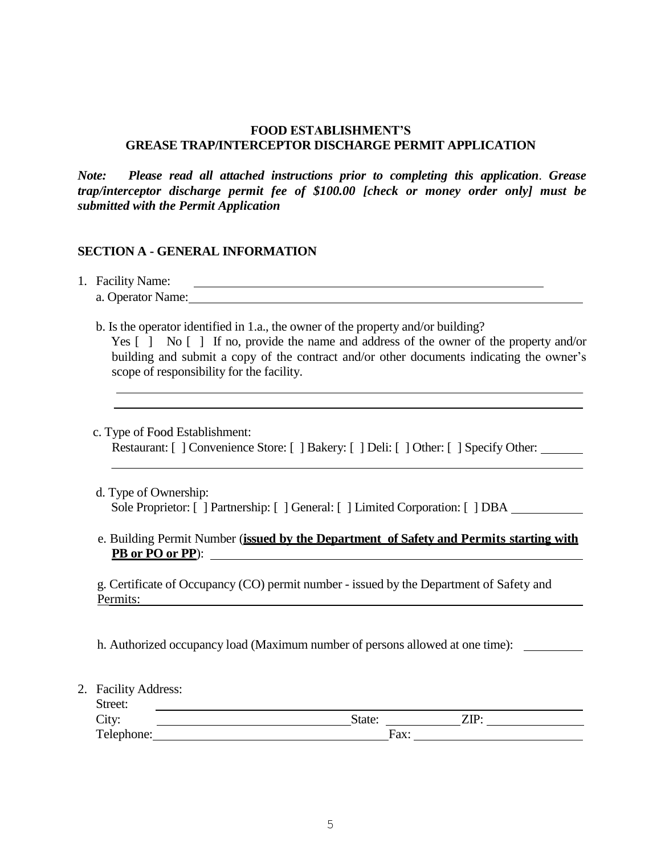#### **FOOD ESTABLISHMENT'S GREASE TRAP/INTERCEPTOR DISCHARGE PERMIT APPLICATION**

*Note: Please read all attached instructions prior to completing this application*. *Grease trap/interceptor discharge permit fee of \$100.00 [check or money order only] must be submitted with the Permit Application* 

#### **SECTION A - GENERAL INFORMATION**

1. Facility Name:

| a. Operator Name: |  |  |  |
|-------------------|--|--|--|
|-------------------|--|--|--|

b. Is the operator identified in 1.a., the owner of the property and/or building?

| Yes $\lceil$   No $\lceil$   If no, provide the name and address of the owner of the property and/or |
|------------------------------------------------------------------------------------------------------|
| building and submit a copy of the contract and/or other documents indicating the owner's             |
| scope of responsibility for the facility.                                                            |

c. Type of Food Establishment:

Restaurant: [ ] Convenience Store: [ ] Bakery: [ ] Deli: [ ] Other: [ ] Specify Other:

- d. Type of Ownership: Sole Proprietor: [ ] Partnership: [ ] General: [ ] Limited Corporation: [ ] DBA
- e. Building Permit Number (**issued by the Department of Safety and Permits starting with PB or PO or PP**):

g. Certificate of Occupancy (CO) permit number - issued by the Department of Safety and Permits:

h. Authorized occupancy load (Maximum number of persons allowed at one time):

2. Facility Address:

| Street:    |        |      |      |
|------------|--------|------|------|
| City:      | State: |      | 7ID. |
| Telephone: |        | Fax: |      |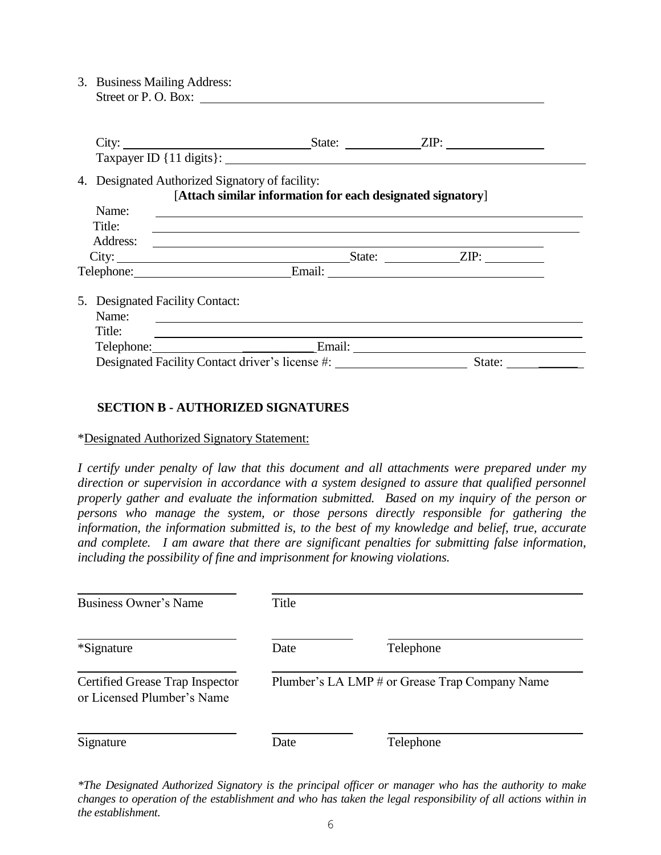3. Business Mailing Address: Street or P. O. Box:

|                 | City:                                                                                                         | State: <u>ZIP:</u>     |  |
|-----------------|---------------------------------------------------------------------------------------------------------------|------------------------|--|
|                 | 4. Designated Authorized Signatory of facility:<br>[Attach similar information for each designated signatory] |                        |  |
| Name:           |                                                                                                               |                        |  |
| Title:          |                                                                                                               |                        |  |
| Address:        | <u> 1989 - John Stein, Amerikaansk politiker (* 1958)</u>                                                     |                        |  |
|                 |                                                                                                               |                        |  |
|                 | Telephone: Email: Email:                                                                                      |                        |  |
| Name:<br>Title: | 5. Designated Facility Contact:<br><u> 1989 - Johann Stoff, amerikansk politiker (d. 1989)</u>                |                        |  |
|                 | Telephone: Email:                                                                                             |                        |  |
|                 | Designated Facility Contact driver's license #:                                                               | State: $\qquad \qquad$ |  |

### **SECTION B - AUTHORIZED SIGNATURES**

#### \*Designated Authorized Signatory Statement:

*I certify under penalty of law that this document and all attachments were prepared under my direction or supervision in accordance with a system designed to assure that qualified personnel properly gather and evaluate the information submitted. Based on my inquiry of the person or persons who manage the system, or those persons directly responsible for gathering the information, the information submitted is, to the best of my knowledge and belief, true, accurate and complete. I am aware that there are significant penalties for submitting false information, including the possibility of fine and imprisonment for knowing violations.*

| Business Owner's Name                                         | Title |                                                |
|---------------------------------------------------------------|-------|------------------------------------------------|
| *Signature                                                    | Date  | Telephone                                      |
| Certified Grease Trap Inspector<br>or Licensed Plumber's Name |       | Plumber's LA LMP # or Grease Trap Company Name |
| Signature                                                     | Date  | Telephone                                      |

*\*The Designated Authorized Signatory is the principal officer or manager who has the authority to make*  changes to operation of the establishment and who has taken the legal responsibility of all actions within in *the establishment.*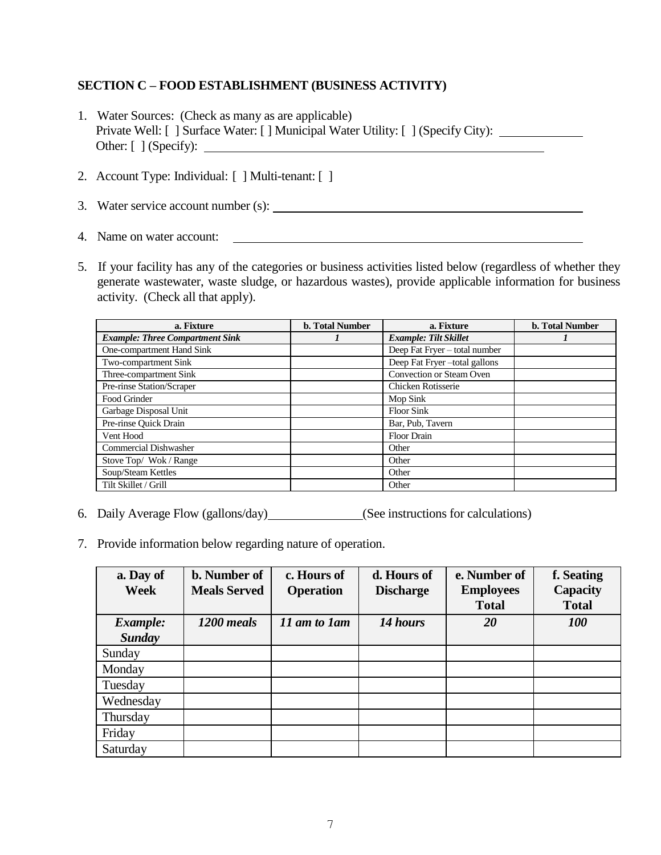## **SECTION C – FOOD ESTABLISHMENT (BUSINESS ACTIVITY)**

- 1. Water Sources: (Check as many as are applicable) Private Well: [ ] Surface Water: [ ] Municipal Water Utility: [ ] (Specify City): Other: [ ] (Specify):
- 2. Account Type: Individual: [ ] Multi-tenant: [ ]
- 3. Water service account number (s):
- 4. Name on water account:
- 5. If your facility has any of the categories or business activities listed below (regardless of whether they generate wastewater, waste sludge, or hazardous wastes), provide applicable information for business activity. (Check all that apply).

| a. Fixture                             | <b>b. Total Number</b> | a. Fixture                    | <b>b.</b> Total Number |
|----------------------------------------|------------------------|-------------------------------|------------------------|
| <b>Example: Three Compartment Sink</b> |                        | <b>Example: Tilt Skillet</b>  |                        |
| One-compartment Hand Sink              |                        | Deep Fat Fryer - total number |                        |
| Two-compartment Sink                   |                        | Deep Fat Fryer-total gallons  |                        |
| Three-compartment Sink                 |                        | Convection or Steam Oven      |                        |
| Pre-rinse Station/Scraper              |                        | Chicken Rotisserie            |                        |
| Food Grinder                           |                        | Mop Sink                      |                        |
| Garbage Disposal Unit                  |                        | <b>Floor Sink</b>             |                        |
| Pre-rinse Quick Drain                  |                        | Bar, Pub, Tavern              |                        |
| Vent Hood                              |                        | Floor Drain                   |                        |
| <b>Commercial Dishwasher</b>           |                        | Other                         |                        |
| Stove Top/ Wok/Range                   |                        | Other                         |                        |
| Soup/Steam Kettles                     |                        | Other                         |                        |
| Tilt Skillet / Grill                   |                        | Other                         |                        |

- 6. Daily Average Flow (gallons/day) (See instructions for calculations)
- 7. Provide information below regarding nature of operation.

| a. Day of     | <b>b.</b> Number of | c. Hours of      | d. Hours of      | e. Number of     | f. Seating   |
|---------------|---------------------|------------------|------------------|------------------|--------------|
| <b>Week</b>   | <b>Meals Served</b> | <b>Operation</b> | <b>Discharge</b> | <b>Employees</b> | Capacity     |
|               |                     |                  |                  | <b>Total</b>     | <b>Total</b> |
| Example:      | 1200 meals          | 11 am to 1 am    | 14 hours         | 20               | <b>100</b>   |
| <b>Sunday</b> |                     |                  |                  |                  |              |
| Sunday        |                     |                  |                  |                  |              |
| Monday        |                     |                  |                  |                  |              |
| Tuesday       |                     |                  |                  |                  |              |
| Wednesday     |                     |                  |                  |                  |              |
| Thursday      |                     |                  |                  |                  |              |
| Friday        |                     |                  |                  |                  |              |
| Saturday      |                     |                  |                  |                  |              |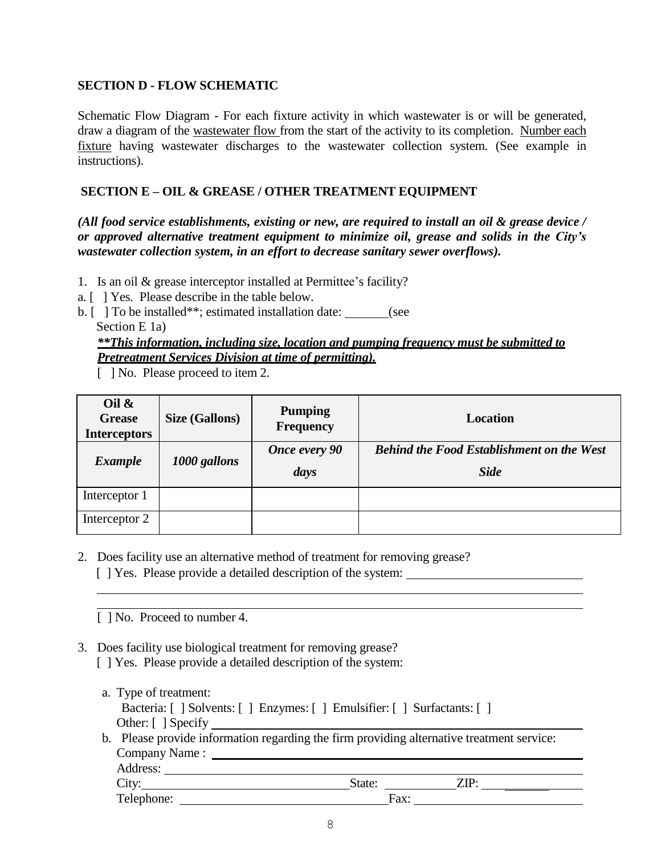## **SECTION D - FLOW SCHEMATIC**

Schematic Flow Diagram - For each fixture activity in which wastewater is or will be generated, draw a diagram of the wastewater flow from the start of the activity to its completion. Number each fixture having wastewater discharges to the wastewater collection system. (See example in instructions).

### **SECTION E – OIL & GREASE / OTHER TREATMENT EQUIPMENT**

*(All food service establishments, existing or new, are required to install an oil & grease device / or approved alternative treatment equipment to minimize oil, grease and solids in the City's wastewater collection system, in an effort to decrease sanitary sewer overflows).*

- 1. Is an oil & grease interceptor installed at Permittee's facility?
- a. [ ] Yes. Please describe in the table below.
- b. [ ] To be installed\*\*; estimated installation date: \_\_\_\_\_\_\_(see Section E 1a)

# *\*\*This information, including size, location and pumping frequency must be submitted to Pretreatment Services Division at time of permitting).*

[ ] No. Please proceed to item 2.

| Oil $\&$<br><b>Grease</b><br><b>Interceptors</b> | <b>Size (Gallons)</b> | <b>Pumping</b><br><b>Frequency</b> | Location                                                        |
|--------------------------------------------------|-----------------------|------------------------------------|-----------------------------------------------------------------|
| <b>Example</b>                                   | 1000 gallons          | <b>Once every 90</b><br>days       | <b>Behind the Food Establishment on the West</b><br><b>Side</b> |
| Interceptor 1                                    |                       |                                    |                                                                 |
| Interceptor 2                                    |                       |                                    |                                                                 |

2. Does facility use an alternative method of treatment for removing grease?

[ ] Yes. Please provide a detailed description of the system:

- [ ] No. Proceed to number 4.
- 3. Does facility use biological treatment for removing grease?
	- [ ] Yes. Please provide a detailed description of the system:
	- a. Type of treatment: Bacteria: [ ] Solvents: [ ] Enzymes: [ ] Emulsifier: [ ] Surfactants: [ ] Other: [ ] Specify \_\_
	- b. Please provide information regarding the firm providing alternative treatment service: Company Name : Address: City: State: <u>State:</u> ZIP: Telephone: <u>Fax:</u>